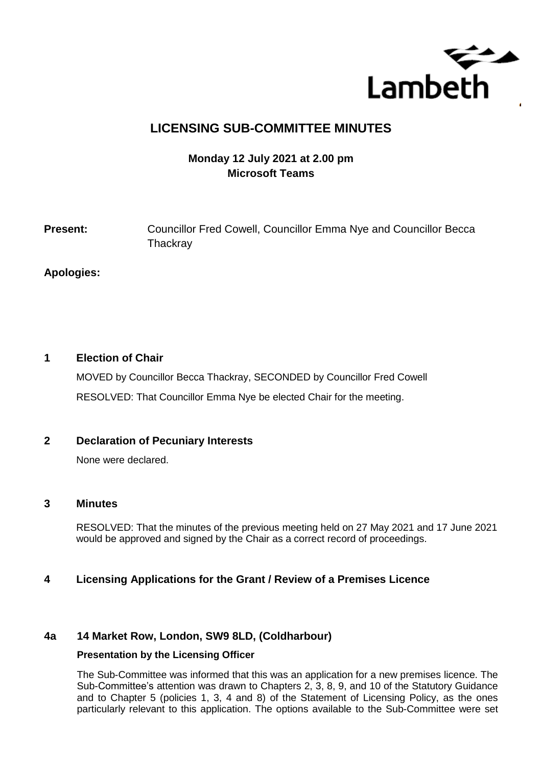

# **LICENSING SUB-COMMITTEE MINUTES**

# **Monday 12 July 2021 at 2.00 pm Microsoft Teams**

# **Present:** Councillor Fred Cowell, Councillor Emma Nye and Councillor Becca **Thackray**

### **Apologies:**

# **1 Election of Chair**

MOVED by Councillor Becca Thackray, SECONDED by Councillor Fred Cowell RESOLVED: That Councillor Emma Nye be elected Chair for the meeting.

# **2 Declaration of Pecuniary Interests**

None were declared.

#### **3 Minutes**

RESOLVED: That the minutes of the previous meeting held on 27 May 2021 and 17 June 2021 would be approved and signed by the Chair as a correct record of proceedings.

# **4 Licensing Applications for the Grant / Review of a Premises Licence**

#### **4a 14 Market Row, London, SW9 8LD, (Coldharbour)**

#### **Presentation by the Licensing Officer**

The Sub-Committee was informed that this was an application for a new premises licence. The Sub-Committee's attention was drawn to Chapters 2, 3, 8, 9, and 10 of the Statutory Guidance and to Chapter 5 (policies 1, 3, 4 and 8) of the Statement of Licensing Policy, as the ones particularly relevant to this application. The options available to the Sub-Committee were set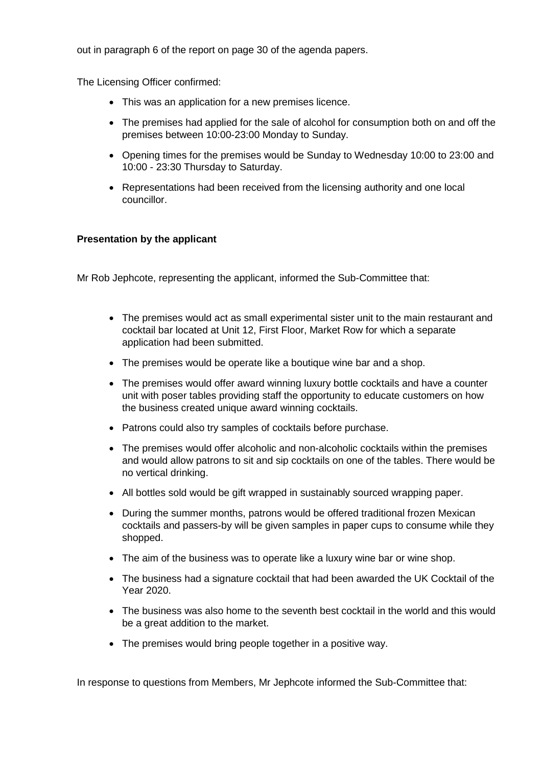out in paragraph 6 of the report on page 30 of the agenda papers.

The Licensing Officer confirmed:

- This was an application for a new premises licence.
- The premises had applied for the sale of alcohol for consumption both on and off the premises between 10:00-23:00 Monday to Sunday.
- Opening times for the premises would be Sunday to Wednesday 10:00 to 23:00 and 10:00 - 23:30 Thursday to Saturday.
- Representations had been received from the licensing authority and one local councillor.

#### **Presentation by the applicant**

Mr Rob Jephcote, representing the applicant, informed the Sub-Committee that:

- The premises would act as small experimental sister unit to the main restaurant and cocktail bar located at Unit 12, First Floor, Market Row for which a separate application had been submitted.
- The premises would be operate like a boutique wine bar and a shop.
- The premises would offer award winning luxury bottle cocktails and have a counter unit with poser tables providing staff the opportunity to educate customers on how the business created unique award winning cocktails.
- Patrons could also try samples of cocktails before purchase.
- The premises would offer alcoholic and non-alcoholic cocktails within the premises and would allow patrons to sit and sip cocktails on one of the tables. There would be no vertical drinking.
- All bottles sold would be gift wrapped in sustainably sourced wrapping paper.
- During the summer months, patrons would be offered traditional frozen Mexican cocktails and passers-by will be given samples in paper cups to consume while they shopped.
- The aim of the business was to operate like a luxury wine bar or wine shop.
- The business had a signature cocktail that had been awarded the UK Cocktail of the Year 2020.
- The business was also home to the seventh best cocktail in the world and this would be a great addition to the market.
- The premises would bring people together in a positive way.

In response to questions from Members, Mr Jephcote informed the Sub-Committee that: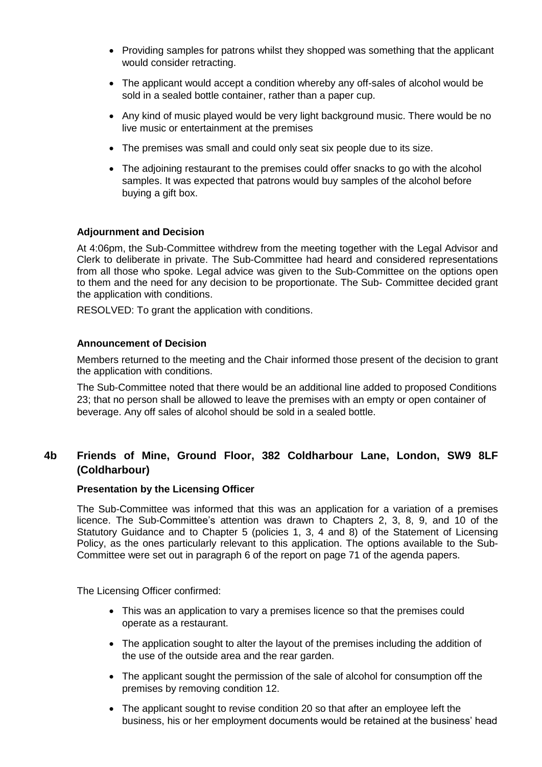- Providing samples for patrons whilst they shopped was something that the applicant would consider retracting.
- The applicant would accept a condition whereby any off-sales of alcohol would be sold in a sealed bottle container, rather than a paper cup.
- Any kind of music played would be very light background music. There would be no live music or entertainment at the premises
- The premises was small and could only seat six people due to its size.
- The adjoining restaurant to the premises could offer snacks to go with the alcohol samples. It was expected that patrons would buy samples of the alcohol before buying a gift box.

#### **Adjournment and Decision**

At 4:06pm, the Sub-Committee withdrew from the meeting together with the Legal Advisor and Clerk to deliberate in private. The Sub-Committee had heard and considered representations from all those who spoke. Legal advice was given to the Sub-Committee on the options open to them and the need for any decision to be proportionate. The Sub- Committee decided grant the application with conditions.

RESOLVED: To grant the application with conditions.

#### **Announcement of Decision**

Members returned to the meeting and the Chair informed those present of the decision to grant the application with conditions.

The Sub-Committee noted that there would be an additional line added to proposed Conditions 23; that no person shall be allowed to leave the premises with an empty or open container of beverage. Any off sales of alcohol should be sold in a sealed bottle.

# **4b Friends of Mine, Ground Floor, 382 Coldharbour Lane, London, SW9 8LF (Coldharbour)**

#### **Presentation by the Licensing Officer**

The Sub-Committee was informed that this was an application for a variation of a premises licence. The Sub-Committee's attention was drawn to Chapters 2, 3, 8, 9, and 10 of the Statutory Guidance and to Chapter 5 (policies 1, 3, 4 and 8) of the Statement of Licensing Policy, as the ones particularly relevant to this application. The options available to the Sub-Committee were set out in paragraph 6 of the report on page 71 of the agenda papers.

The Licensing Officer confirmed:

- This was an application to vary a premises licence so that the premises could operate as a restaurant.
- The application sought to alter the layout of the premises including the addition of the use of the outside area and the rear garden.
- The applicant sought the permission of the sale of alcohol for consumption off the premises by removing condition 12.
- The applicant sought to revise condition 20 so that after an employee left the business, his or her employment documents would be retained at the business' head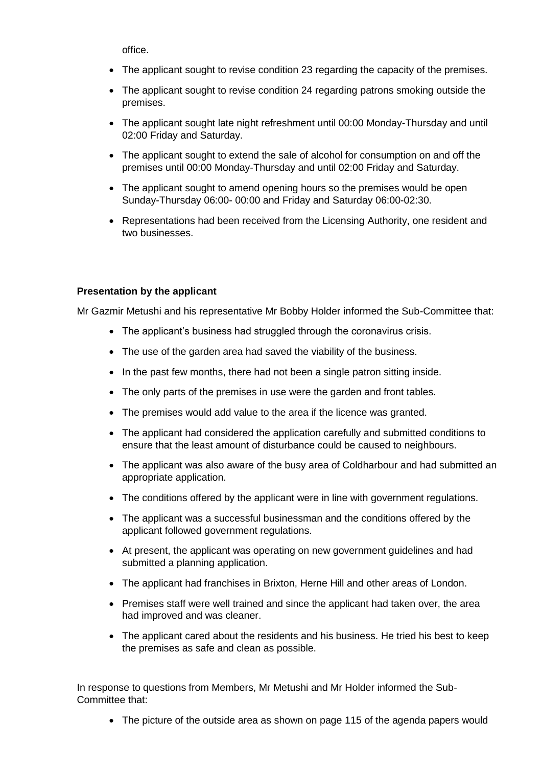office.

- The applicant sought to revise condition 23 regarding the capacity of the premises.
- The applicant sought to revise condition 24 regarding patrons smoking outside the premises.
- The applicant sought late night refreshment until 00:00 Monday-Thursday and until 02:00 Friday and Saturday.
- The applicant sought to extend the sale of alcohol for consumption on and off the premises until 00:00 Monday-Thursday and until 02:00 Friday and Saturday.
- The applicant sought to amend opening hours so the premises would be open Sunday-Thursday 06:00- 00:00 and Friday and Saturday 06:00-02:30.
- Representations had been received from the Licensing Authority, one resident and two businesses.

### **Presentation by the applicant**

Mr Gazmir Metushi and his representative Mr Bobby Holder informed the Sub-Committee that:

- The applicant's business had struggled through the coronavirus crisis.
- The use of the garden area had saved the viability of the business.
- In the past few months, there had not been a single patron sitting inside.
- The only parts of the premises in use were the garden and front tables.
- The premises would add value to the area if the licence was granted.
- The applicant had considered the application carefully and submitted conditions to ensure that the least amount of disturbance could be caused to neighbours.
- The applicant was also aware of the busy area of Coldharbour and had submitted an appropriate application.
- The conditions offered by the applicant were in line with government regulations.
- The applicant was a successful businessman and the conditions offered by the applicant followed government regulations.
- At present, the applicant was operating on new government guidelines and had submitted a planning application.
- The applicant had franchises in Brixton, Herne Hill and other areas of London.
- Premises staff were well trained and since the applicant had taken over, the area had improved and was cleaner.
- The applicant cared about the residents and his business. He tried his best to keep the premises as safe and clean as possible.

In response to questions from Members, Mr Metushi and Mr Holder informed the Sub-Committee that:

• The picture of the outside area as shown on page 115 of the agenda papers would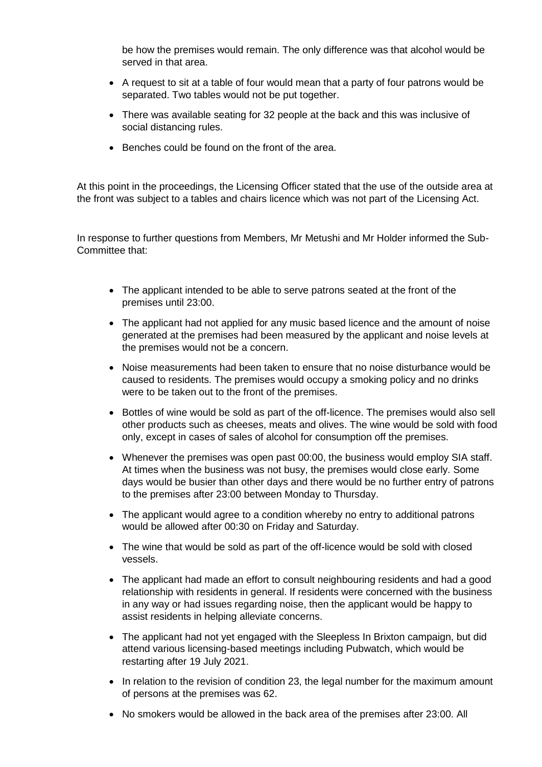be how the premises would remain. The only difference was that alcohol would be served in that area.

- A request to sit at a table of four would mean that a party of four patrons would be separated. Two tables would not be put together.
- There was available seating for 32 people at the back and this was inclusive of social distancing rules.
- Benches could be found on the front of the area.

At this point in the proceedings, the Licensing Officer stated that the use of the outside area at the front was subject to a tables and chairs licence which was not part of the Licensing Act.

In response to further questions from Members, Mr Metushi and Mr Holder informed the Sub-Committee that:

- The applicant intended to be able to serve patrons seated at the front of the premises until 23:00.
- The applicant had not applied for any music based licence and the amount of noise generated at the premises had been measured by the applicant and noise levels at the premises would not be a concern.
- Noise measurements had been taken to ensure that no noise disturbance would be caused to residents. The premises would occupy a smoking policy and no drinks were to be taken out to the front of the premises.
- Bottles of wine would be sold as part of the off-licence. The premises would also sell other products such as cheeses, meats and olives. The wine would be sold with food only, except in cases of sales of alcohol for consumption off the premises.
- Whenever the premises was open past 00:00, the business would employ SIA staff. At times when the business was not busy, the premises would close early. Some days would be busier than other days and there would be no further entry of patrons to the premises after 23:00 between Monday to Thursday.
- The applicant would agree to a condition whereby no entry to additional patrons would be allowed after 00:30 on Friday and Saturday.
- The wine that would be sold as part of the off-licence would be sold with closed vessels.
- The applicant had made an effort to consult neighbouring residents and had a good relationship with residents in general. If residents were concerned with the business in any way or had issues regarding noise, then the applicant would be happy to assist residents in helping alleviate concerns.
- The applicant had not yet engaged with the Sleepless In Brixton campaign, but did attend various licensing-based meetings including Pubwatch, which would be restarting after 19 July 2021.
- In relation to the revision of condition 23, the legal number for the maximum amount of persons at the premises was 62.
- No smokers would be allowed in the back area of the premises after 23:00. All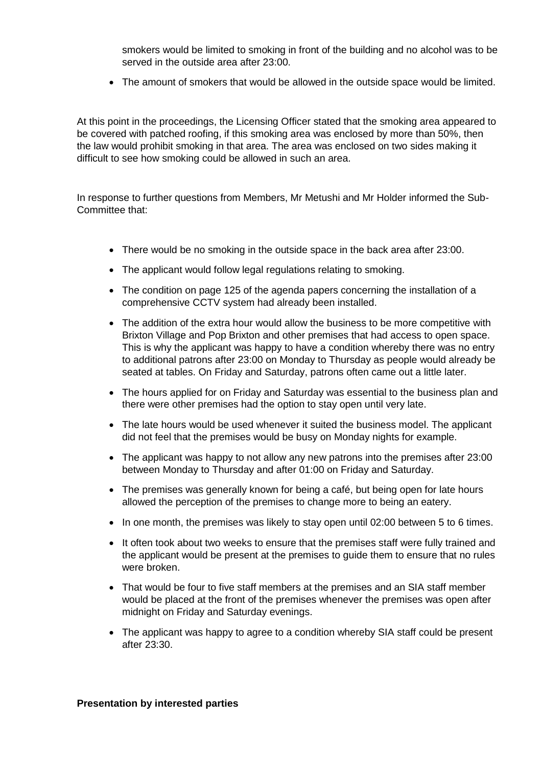smokers would be limited to smoking in front of the building and no alcohol was to be served in the outside area after 23:00.

The amount of smokers that would be allowed in the outside space would be limited.

At this point in the proceedings, the Licensing Officer stated that the smoking area appeared to be covered with patched roofing, if this smoking area was enclosed by more than 50%, then the law would prohibit smoking in that area. The area was enclosed on two sides making it difficult to see how smoking could be allowed in such an area.

In response to further questions from Members, Mr Metushi and Mr Holder informed the Sub-Committee that:

- There would be no smoking in the outside space in the back area after 23:00.
- The applicant would follow legal regulations relating to smoking.
- The condition on page 125 of the agenda papers concerning the installation of a comprehensive CCTV system had already been installed.
- The addition of the extra hour would allow the business to be more competitive with Brixton Village and Pop Brixton and other premises that had access to open space. This is why the applicant was happy to have a condition whereby there was no entry to additional patrons after 23:00 on Monday to Thursday as people would already be seated at tables. On Friday and Saturday, patrons often came out a little later.
- The hours applied for on Friday and Saturday was essential to the business plan and there were other premises had the option to stay open until very late.
- The late hours would be used whenever it suited the business model. The applicant did not feel that the premises would be busy on Monday nights for example.
- The applicant was happy to not allow any new patrons into the premises after 23:00 between Monday to Thursday and after 01:00 on Friday and Saturday.
- The premises was generally known for being a café, but being open for late hours allowed the perception of the premises to change more to being an eatery.
- In one month, the premises was likely to stay open until 02:00 between 5 to 6 times.
- It often took about two weeks to ensure that the premises staff were fully trained and the applicant would be present at the premises to guide them to ensure that no rules were broken.
- That would be four to five staff members at the premises and an SIA staff member would be placed at the front of the premises whenever the premises was open after midnight on Friday and Saturday evenings.
- The applicant was happy to agree to a condition whereby SIA staff could be present after 23:30.

#### **Presentation by interested parties**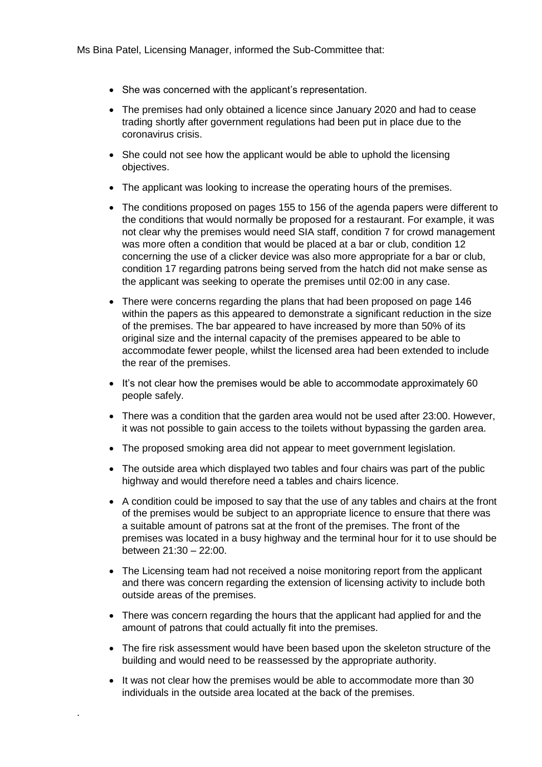- She was concerned with the applicant's representation.
- The premises had only obtained a licence since January 2020 and had to cease trading shortly after government regulations had been put in place due to the coronavirus crisis.
- She could not see how the applicant would be able to uphold the licensing objectives.
- The applicant was looking to increase the operating hours of the premises.
- The conditions proposed on pages 155 to 156 of the agenda papers were different to the conditions that would normally be proposed for a restaurant. For example, it was not clear why the premises would need SIA staff, condition 7 for crowd management was more often a condition that would be placed at a bar or club, condition 12 concerning the use of a clicker device was also more appropriate for a bar or club, condition 17 regarding patrons being served from the hatch did not make sense as the applicant was seeking to operate the premises until 02:00 in any case.
- There were concerns regarding the plans that had been proposed on page 146 within the papers as this appeared to demonstrate a significant reduction in the size of the premises. The bar appeared to have increased by more than 50% of its original size and the internal capacity of the premises appeared to be able to accommodate fewer people, whilst the licensed area had been extended to include the rear of the premises.
- It's not clear how the premises would be able to accommodate approximately 60 people safely.
- There was a condition that the garden area would not be used after 23:00. However, it was not possible to gain access to the toilets without bypassing the garden area.
- The proposed smoking area did not appear to meet government legislation.
- The outside area which displayed two tables and four chairs was part of the public highway and would therefore need a tables and chairs licence.
- A condition could be imposed to say that the use of any tables and chairs at the front of the premises would be subject to an appropriate licence to ensure that there was a suitable amount of patrons sat at the front of the premises. The front of the premises was located in a busy highway and the terminal hour for it to use should be between 21:30 – 22:00.
- The Licensing team had not received a noise monitoring report from the applicant and there was concern regarding the extension of licensing activity to include both outside areas of the premises.
- There was concern regarding the hours that the applicant had applied for and the amount of patrons that could actually fit into the premises.
- The fire risk assessment would have been based upon the skeleton structure of the building and would need to be reassessed by the appropriate authority.
- It was not clear how the premises would be able to accommodate more than 30 individuals in the outside area located at the back of the premises.

.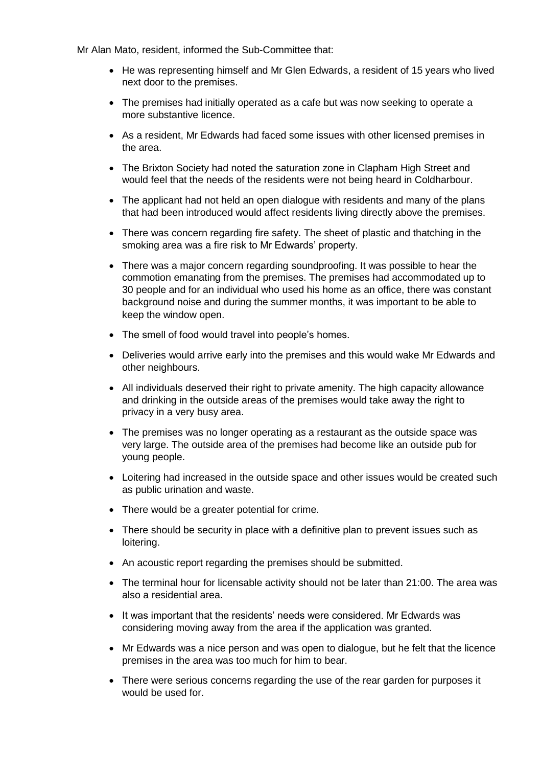Mr Alan Mato, resident, informed the Sub-Committee that:

- He was representing himself and Mr Glen Edwards, a resident of 15 years who lived next door to the premises.
- The premises had initially operated as a cafe but was now seeking to operate a more substantive licence.
- As a resident, Mr Edwards had faced some issues with other licensed premises in the area.
- The Brixton Society had noted the saturation zone in Clapham High Street and would feel that the needs of the residents were not being heard in Coldharbour.
- The applicant had not held an open dialogue with residents and many of the plans that had been introduced would affect residents living directly above the premises.
- There was concern regarding fire safety. The sheet of plastic and thatching in the smoking area was a fire risk to Mr Edwards' property.
- There was a major concern regarding soundproofing. It was possible to hear the commotion emanating from the premises. The premises had accommodated up to 30 people and for an individual who used his home as an office, there was constant background noise and during the summer months, it was important to be able to keep the window open.
- The smell of food would travel into people's homes.
- Deliveries would arrive early into the premises and this would wake Mr Edwards and other neighbours.
- All individuals deserved their right to private amenity. The high capacity allowance and drinking in the outside areas of the premises would take away the right to privacy in a very busy area.
- The premises was no longer operating as a restaurant as the outside space was very large. The outside area of the premises had become like an outside pub for young people.
- Loitering had increased in the outside space and other issues would be created such as public urination and waste.
- There would be a greater potential for crime.
- There should be security in place with a definitive plan to prevent issues such as loitering.
- An acoustic report regarding the premises should be submitted.
- The terminal hour for licensable activity should not be later than 21:00. The area was also a residential area.
- It was important that the residents' needs were considered. Mr Edwards was considering moving away from the area if the application was granted.
- Mr Edwards was a nice person and was open to dialogue, but he felt that the licence premises in the area was too much for him to bear.
- There were serious concerns regarding the use of the rear garden for purposes it would be used for.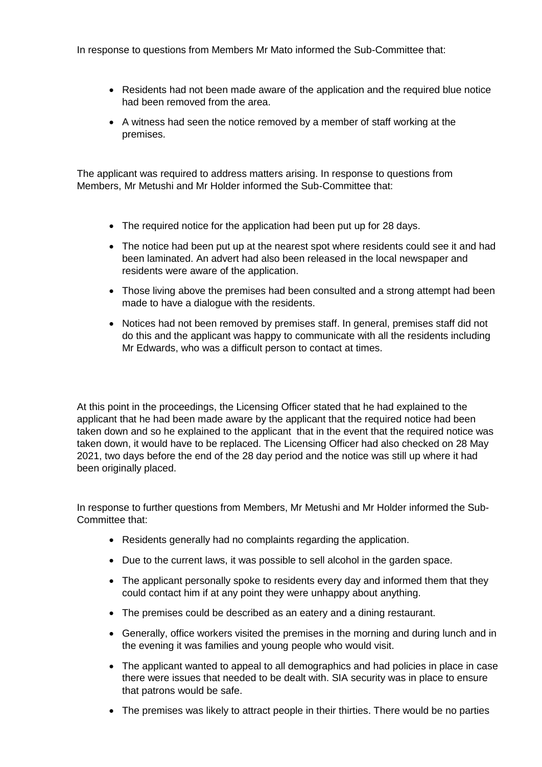In response to questions from Members Mr Mato informed the Sub-Committee that:

- Residents had not been made aware of the application and the required blue notice had been removed from the area.
- A witness had seen the notice removed by a member of staff working at the premises.

The applicant was required to address matters arising. In response to questions from Members, Mr Metushi and Mr Holder informed the Sub-Committee that:

- The required notice for the application had been put up for 28 days.
- The notice had been put up at the nearest spot where residents could see it and had been laminated. An advert had also been released in the local newspaper and residents were aware of the application.
- Those living above the premises had been consulted and a strong attempt had been made to have a dialogue with the residents.
- Notices had not been removed by premises staff. In general, premises staff did not do this and the applicant was happy to communicate with all the residents including Mr Edwards, who was a difficult person to contact at times.

At this point in the proceedings, the Licensing Officer stated that he had explained to the applicant that he had been made aware by the applicant that the required notice had been taken down and so he explained to the applicant that in the event that the required notice was taken down, it would have to be replaced. The Licensing Officer had also checked on 28 May 2021, two days before the end of the 28 day period and the notice was still up where it had been originally placed.

In response to further questions from Members, Mr Metushi and Mr Holder informed the Sub-Committee that:

- Residents generally had no complaints regarding the application.
- Due to the current laws, it was possible to sell alcohol in the garden space.
- The applicant personally spoke to residents every day and informed them that they could contact him if at any point they were unhappy about anything.
- The premises could be described as an eatery and a dining restaurant.
- Generally, office workers visited the premises in the morning and during lunch and in the evening it was families and young people who would visit.
- The applicant wanted to appeal to all demographics and had policies in place in case there were issues that needed to be dealt with. SIA security was in place to ensure that patrons would be safe.
- The premises was likely to attract people in their thirties. There would be no parties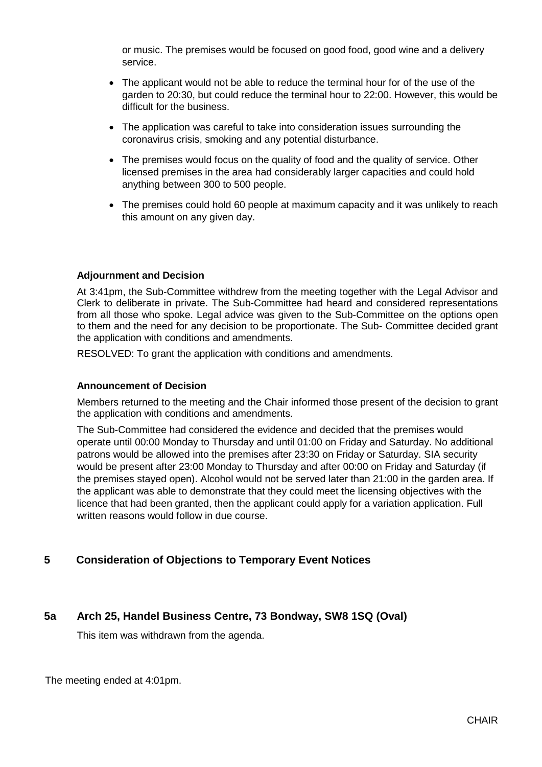or music. The premises would be focused on good food, good wine and a delivery service.

- The applicant would not be able to reduce the terminal hour for of the use of the garden to 20:30, but could reduce the terminal hour to 22:00. However, this would be difficult for the business.
- The application was careful to take into consideration issues surrounding the coronavirus crisis, smoking and any potential disturbance.
- The premises would focus on the quality of food and the quality of service. Other licensed premises in the area had considerably larger capacities and could hold anything between 300 to 500 people.
- The premises could hold 60 people at maximum capacity and it was unlikely to reach this amount on any given day.

#### **Adjournment and Decision**

At 3:41pm, the Sub-Committee withdrew from the meeting together with the Legal Advisor and Clerk to deliberate in private. The Sub-Committee had heard and considered representations from all those who spoke. Legal advice was given to the Sub-Committee on the options open to them and the need for any decision to be proportionate. The Sub- Committee decided grant the application with conditions and amendments.

RESOLVED: To grant the application with conditions and amendments.

#### **Announcement of Decision**

Members returned to the meeting and the Chair informed those present of the decision to grant the application with conditions and amendments.

The Sub-Committee had considered the evidence and decided that the premises would operate until 00:00 Monday to Thursday and until 01:00 on Friday and Saturday. No additional patrons would be allowed into the premises after 23:30 on Friday or Saturday. SIA security would be present after 23:00 Monday to Thursday and after 00:00 on Friday and Saturday (if the premises stayed open). Alcohol would not be served later than 21:00 in the garden area. If the applicant was able to demonstrate that they could meet the licensing objectives with the licence that had been granted, then the applicant could apply for a variation application. Full written reasons would follow in due course.

# **5 Consideration of Objections to Temporary Event Notices**

# **5a Arch 25, Handel Business Centre, 73 Bondway, SW8 1SQ (Oval)**

This item was withdrawn from the agenda.

The meeting ended at 4:01pm.